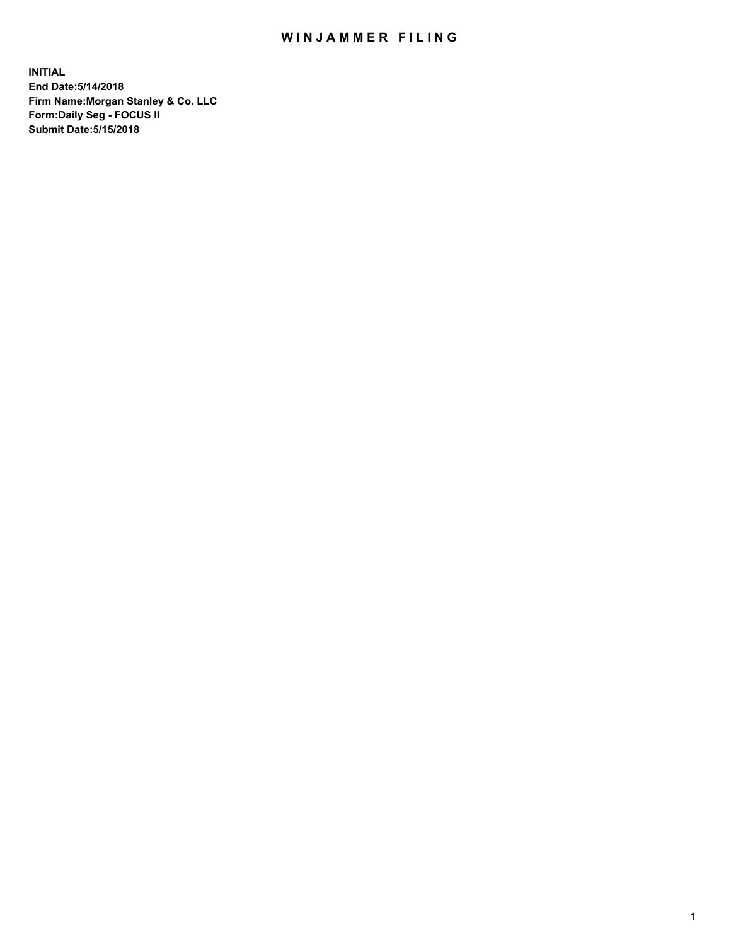## WIN JAMMER FILING

**INITIAL End Date:5/14/2018 Firm Name:Morgan Stanley & Co. LLC Form:Daily Seg - FOCUS II Submit Date:5/15/2018**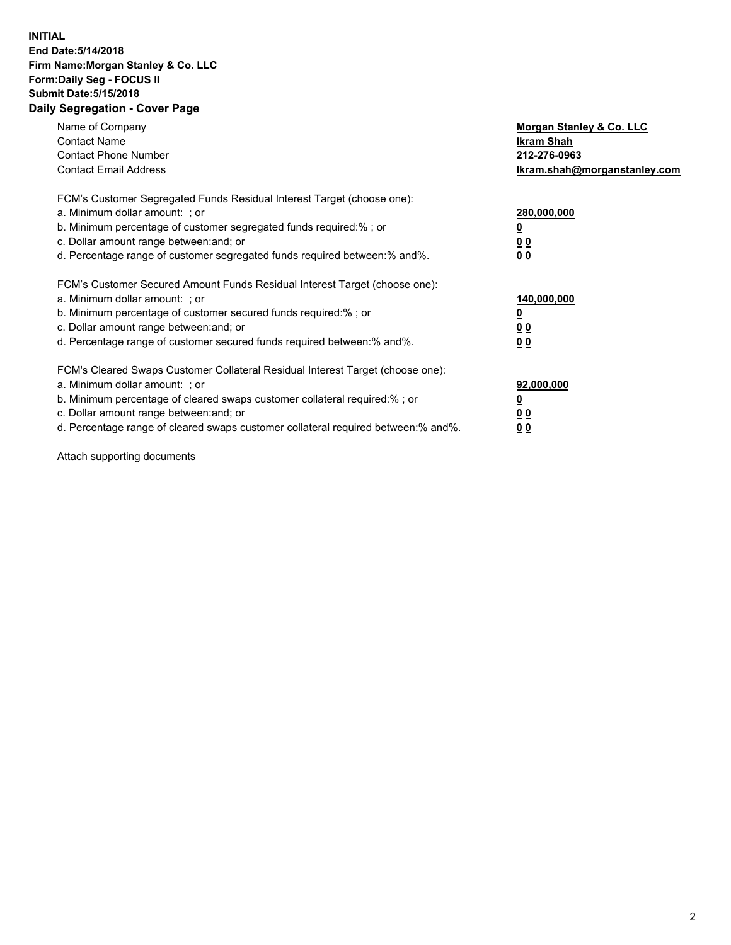## **INITIAL End Date:5/14/2018 Firm Name:Morgan Stanley & Co. LLC Form:Daily Seg - FOCUS II Submit Date:5/15/2018 Daily Segregation - Cover Page**

| Name of Company<br><b>Contact Name</b><br><b>Contact Phone Number</b><br><b>Contact Email Address</b>                                                                                                                                                                                                                          | Morgan Stanley & Co. LLC<br><b>Ikram Shah</b><br>212-276-0963<br>Ikram.shah@morganstanley.com |
|--------------------------------------------------------------------------------------------------------------------------------------------------------------------------------------------------------------------------------------------------------------------------------------------------------------------------------|-----------------------------------------------------------------------------------------------|
| FCM's Customer Segregated Funds Residual Interest Target (choose one):<br>a. Minimum dollar amount: ; or<br>b. Minimum percentage of customer segregated funds required:%; or<br>c. Dollar amount range between: and; or<br>d. Percentage range of customer segregated funds required between: % and %.                        | 280,000,000<br><u>0</u><br>0 <sub>0</sub><br>0 <sub>0</sub>                                   |
| FCM's Customer Secured Amount Funds Residual Interest Target (choose one):<br>a. Minimum dollar amount: ; or<br>b. Minimum percentage of customer secured funds required:%; or<br>c. Dollar amount range between: and; or<br>d. Percentage range of customer secured funds required between: % and %.                          | 140,000,000<br>0 <sub>0</sub><br>0 <sub>0</sub>                                               |
| FCM's Cleared Swaps Customer Collateral Residual Interest Target (choose one):<br>a. Minimum dollar amount: ; or<br>b. Minimum percentage of cleared swaps customer collateral required:% ; or<br>c. Dollar amount range between: and; or<br>d. Percentage range of cleared swaps customer collateral required between:% and%. | 92,000,000<br>0 <sub>0</sub><br>0 <sub>0</sub>                                                |

Attach supporting documents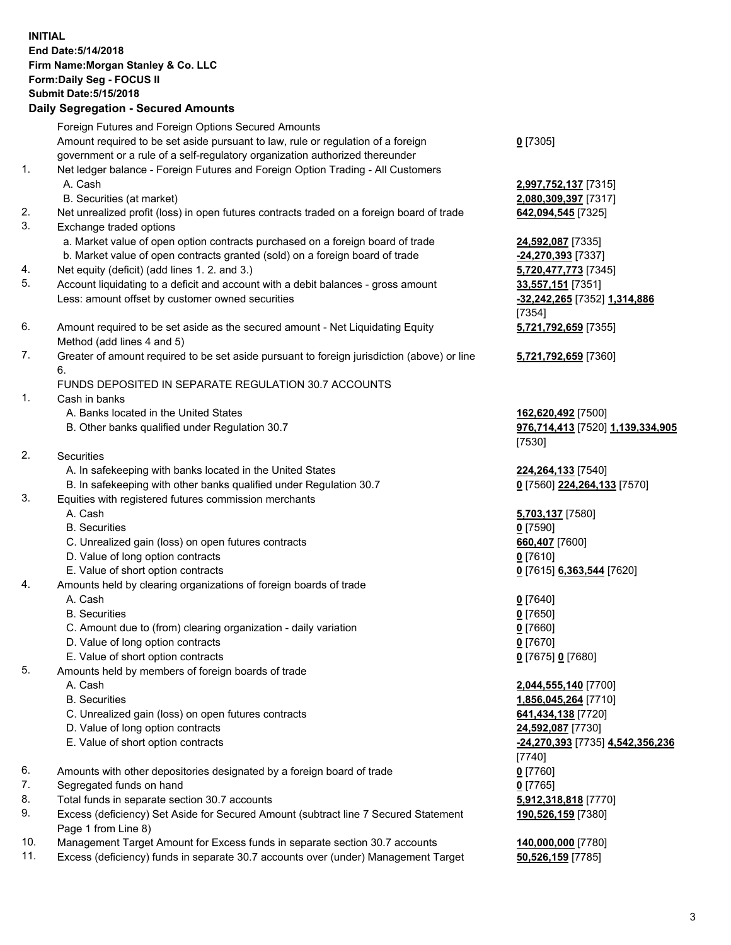## **INITIAL End Date:5/14/2018 Firm Name:Morgan Stanley & Co. LLC Form:Daily Seg - FOCUS II Submit Date:5/15/2018 Daily Segregation - Secured Amounts**

Foreign Futures and Foreign Options Secured Amounts Amount required to be set aside pursuant to law, rule or regulation of a foreign government or a rule of a self-regulatory organization authorized thereunder

- 1. Net ledger balance Foreign Futures and Foreign Option Trading All Customers A. Cash **2,997,752,137** [7315]
	- B. Securities (at market) **2,080,309,397** [7317]
- 2. Net unrealized profit (loss) in open futures contracts traded on a foreign board of trade **642,094,545** [7325]
- 3. Exchange traded options
	- a. Market value of open option contracts purchased on a foreign board of trade **24,592,087** [7335]
	- b. Market value of open contracts granted (sold) on a foreign board of trade **-24,270,393** [7337]
- 4. Net equity (deficit) (add lines 1. 2. and 3.) **5,720,477,773** [7345]
- 5. Account liquidating to a deficit and account with a debit balances gross amount **33,557,151** [7351] Less: amount offset by customer owned securities **-32,242,265** [7352] **1,314,886**
- 6. Amount required to be set aside as the secured amount Net Liquidating Equity Method (add lines 4 and 5)
- 7. Greater of amount required to be set aside pursuant to foreign jurisdiction (above) or line 6.

## FUNDS DEPOSITED IN SEPARATE REGULATION 30.7 ACCOUNTS

- 1. Cash in banks
	- A. Banks located in the United States **162,620,492** [7500]
	- B. Other banks qualified under Regulation 30.7 **976,714,413** [7520] **1,139,334,905**
- 2. Securities
	- A. In safekeeping with banks located in the United States **224,264,133** [7540]
	- B. In safekeeping with other banks qualified under Regulation 30.7 **0** [7560] **224,264,133** [7570]
- 3. Equities with registered futures commission merchants
	-
	-
	- C. Unrealized gain (loss) on open futures contracts **660,407** [7600]
	- D. Value of long option contracts **0** [7610]
- E. Value of short option contracts **0** [7615] **6,363,544** [7620]
- 4. Amounts held by clearing organizations of foreign boards of trade
	-
	-
	- C. Amount due to (from) clearing organization daily variation **0** [7660]
	- D. Value of long option contracts **0** [7670]
	- E. Value of short option contracts **0** [7675] **0** [7680]
- 5. Amounts held by members of foreign boards of trade
	-
	-
	- C. Unrealized gain (loss) on open futures contracts **641,434,138** [7720]
	- D. Value of long option contracts **24,592,087** [7730]
	- E. Value of short option contracts **-24,270,393** [7735] **4,542,356,236**
- 6. Amounts with other depositories designated by a foreign board of trade **0** [7760]
- 7. Segregated funds on hand **0** [7765]
- 8. Total funds in separate section 30.7 accounts **5,912,318,818** [7770]
- 9. Excess (deficiency) Set Aside for Secured Amount (subtract line 7 Secured Statement Page 1 from Line 8)
- 10. Management Target Amount for Excess funds in separate section 30.7 accounts **140,000,000** [7780]
- 11. Excess (deficiency) funds in separate 30.7 accounts over (under) Management Target **50,526,159** [7785]

**0** [7305]

[7354] **5,721,792,659** [7355]

**5,721,792,659** [7360]

[7530]

 A. Cash **5,703,137** [7580] B. Securities **0** [7590]

 A. Cash **0** [7640] B. Securities **0** [7650]

 A. Cash **2,044,555,140** [7700] B. Securities **1,856,045,264** [7710] [7740] **190,526,159** [7380]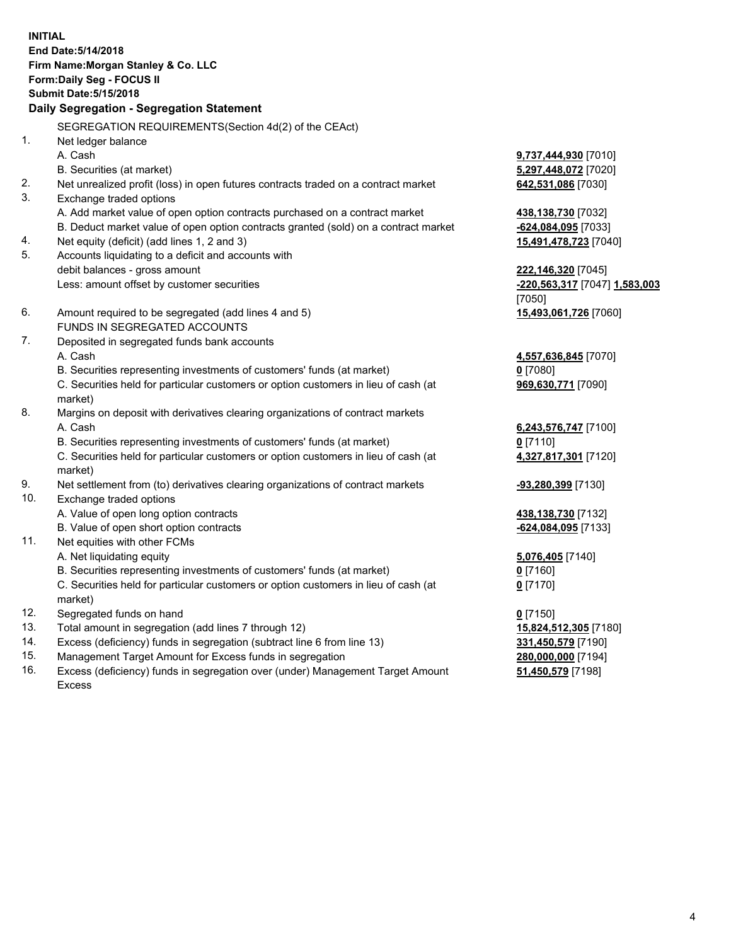**INITIAL End Date:5/14/2018 Firm Name:Morgan Stanley & Co. LLC Form:Daily Seg - FOCUS II Submit Date:5/15/2018 Daily Segregation - Segregation Statement** SEGREGATION REQUIREMENTS(Section 4d(2) of the CEAct) 1. Net ledger balance A. Cash **9,737,444,930** [7010] B. Securities (at market) **5,297,448,072** [7020] 2. Net unrealized profit (loss) in open futures contracts traded on a contract market **642,531,086** [7030] 3. Exchange traded options A. Add market value of open option contracts purchased on a contract market **438,138,730** [7032] B. Deduct market value of open option contracts granted (sold) on a contract market **-624,084,095** [7033] 4. Net equity (deficit) (add lines 1, 2 and 3) **15,491,478,723** [7040] 5. Accounts liquidating to a deficit and accounts with debit balances - gross amount **222,146,320** [7045] Less: amount offset by customer securities **-220,563,317** [7047] **1,583,003** [7050] 6. Amount required to be segregated (add lines 4 and 5) **15,493,061,726** [7060] FUNDS IN SEGREGATED ACCOUNTS 7. Deposited in segregated funds bank accounts A. Cash **4,557,636,845** [7070] B. Securities representing investments of customers' funds (at market) **0** [7080] C. Securities held for particular customers or option customers in lieu of cash (at market) **969,630,771** [7090] 8. Margins on deposit with derivatives clearing organizations of contract markets A. Cash **6,243,576,747** [7100] B. Securities representing investments of customers' funds (at market) **0** [7110] C. Securities held for particular customers or option customers in lieu of cash (at market) **4,327,817,301** [7120] 9. Net settlement from (to) derivatives clearing organizations of contract markets **-93,280,399** [7130] 10. Exchange traded options A. Value of open long option contracts **438,138,730** [7132] B. Value of open short option contracts **-624,084,095** [7133] 11. Net equities with other FCMs A. Net liquidating equity **5,076,405** [7140] B. Securities representing investments of customers' funds (at market) **0** [7160] C. Securities held for particular customers or option customers in lieu of cash (at market) **0** [7170] 12. Segregated funds on hand **0** [7150] 13. Total amount in segregation (add lines 7 through 12) **15,824,512,305** [7180] 14. Excess (deficiency) funds in segregation (subtract line 6 from line 13) **331,450,579** [7190]

- 15. Management Target Amount for Excess funds in segregation **280,000,000** [7194]
- 16. Excess (deficiency) funds in segregation over (under) Management Target Amount Excess

**51,450,579** [7198]